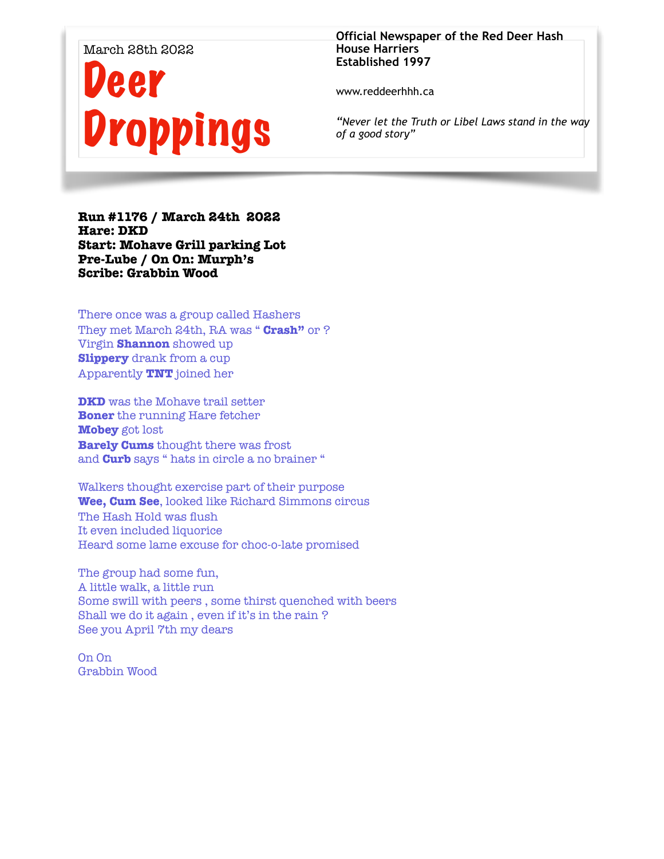#### March 28th 2022

# Deer Droppings

#### **Official Newspaper of the Red Deer Hash House Harriers Established 1997**

www.reddeerhhh.ca

*"Never let the Truth or Libel Laws stand in the way of a good story"*

**Run #1176 / March 24th 2022 Hare: DKD Start: Mohave Grill parking Lot Pre-Lube / On On: Murph's Scribe: Grabbin Wood** 

There once was a group called Hashers They met March 24th, RA was " **Crash"** or ? Virgin **Shannon** showed up **Slippery** drank from a cup Apparently **TNT** joined her

**DKD** was the Mohave trail setter **Boner** the running Hare fetcher **Mobey** got lost **Barely Cums** thought there was frost and **Curb** says " hats in circle a no brainer "

Walkers thought exercise part of their purpose **Wee, Cum See**, looked like Richard Simmons circus The Hash Hold was flush It even included liquorice Heard some lame excuse for choc-o-late promised

The group had some fun, A little walk, a little run Some swill with peers , some thirst quenched with beers Shall we do it again , even if it's in the rain ? See you April 7th my dears

On On Grabbin Wood